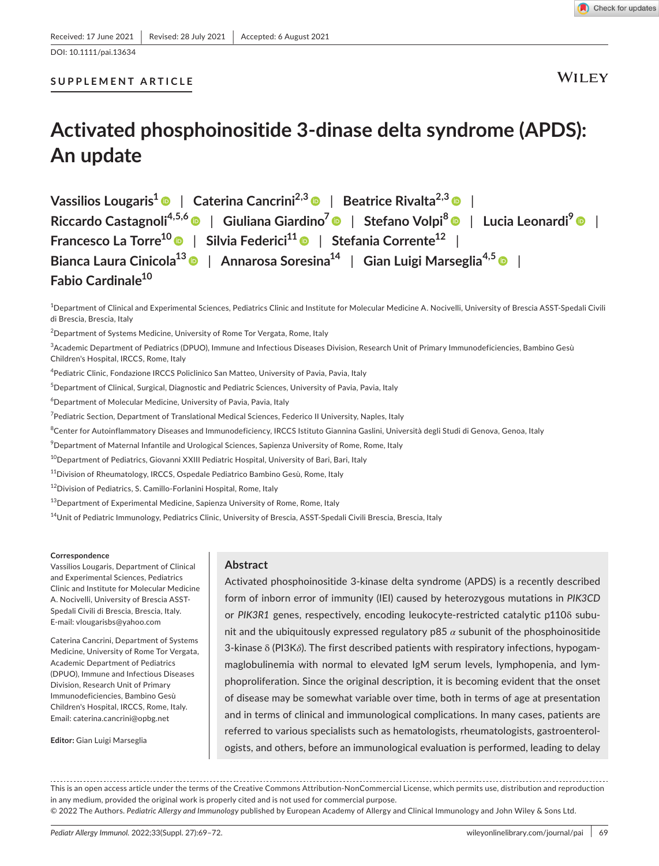DOI: 10.1111/pai.13634

## **SUPPLEMENT ARTICLE**

**WILEY** 

## **Activated phosphoinositide 3-dinase delta syndrome (APDS): An update**

**Vassilios Lougaris[1](https://orcid.org/0000-0003-2303-9533)** | **Caterina Cancrini2,3** | **Beatrice Rivalta2,[3](https://orcid.org/0000-0003-2199-289X)** | **Riccardo Castagnoli4,5,[6](https://orcid.org/0000-0003-0029-9383)** | **Giuliana Giardino7** | **Stefano Volpi[8](https://orcid.org/0000-0002-7129-868X)** | **Lucia Leonardi9** | **Francesco La Torre1[0](https://orcid.org/0000-0002-5235-2900)** | **Silvia Federici11** | **Stefania Corrente12** | **Bianca Laura Cinicola1[3](https://orcid.org/0000-0003-1268-5038)** | **Annarosa Soresina14** | **Gian Luigi Marseglia4,[5](https://orcid.org/0000-0003-3662-0159)** | **Fabio Cardinale10**

1 Department of Clinical and Experimental Sciences, Pediatrics Clinic and Institute for Molecular Medicine A. Nocivelli, University of Brescia ASST-Spedali Civili di Brescia, Brescia, Italy

 $^{2}$ Department of Systems Medicine, University of Rome Tor Vergata, Rome, Italy

3 Academic Department of Pediatrics (DPUO), Immune and Infectious Diseases Division, Research Unit of Primary Immunodeficiencies, Bambino Gesù Children's Hospital, IRCCS, Rome, Italy

4 Pediatric Clinic, Fondazione IRCCS Policlinico San Matteo, University of Pavia, Pavia, Italy

 $^5$ Department of Clinical, Surgical, Diagnostic and Pediatric Sciences, University of Pavia, Pavia, Italy

 $^6$ Department of Molecular Medicine, University of Pavia, Pavia, Italy

7 Pediatric Section, Department of Translational Medical Sciences, Federico II University, Naples, Italy

 $^8$ Center for Autoinflammatory Diseases and Immunodeficiency, IRCCS Istituto Giannina Gaslini, Università degli Studi di Genova, Genoa, Italy

 $^9$ Department of Maternal Infantile and Urological Sciences, Sapienza University of Rome, Rome, Italy

<sup>10</sup>Department of Pediatrics, Giovanni XXIII Pediatric Hospital, University of Bari, Bari, Italy

<sup>11</sup>Division of Rheumatology, IRCCS, Ospedale Pediatrico Bambino Gesù, Rome, Italy

<sup>12</sup>Division of Pediatrics, S. Camillo-Forlanini Hospital, Rome, Italy

<sup>13</sup> Department of Experimental Medicine, Sapienza University of Rome, Rome, Italy

<sup>14</sup>Unit of Pediatric Immunology, Pediatrics Clinic, University of Brescia, ASST-Spedali Civili Brescia, Brescia, Italy

#### **Correspondence**

Vassilios Lougaris, Department of Clinical and Experimental Sciences, Pediatrics Clinic and Institute for Molecular Medicine A. Nocivelli, University of Brescia ASST-Spedali Civili di Brescia, Brescia, Italy. E-mail: [vlougarisbs@yahoo.com](mailto:vlougarisbs@yahoo.com)

Caterina Cancrini, Department of Systems Medicine, University of Rome Tor Vergata, Academic Department of Pediatrics (DPUO), Immune and Infectious Diseases Division, Research Unit of Primary Immunodeficiencies, Bambino Gesù Children's Hospital, IRCCS, Rome, Italy. Email: [caterina.cancrini@opbg.net](mailto:caterina.cancrini@opbg.net)

**Editor:** Gian Luigi Marseglia

#### **Abstract**

Activated phosphoinositide 3-kinase delta syndrome (APDS) is a recently described form of inborn error of immunity (IEI) caused by heterozygous mutations in *PIK3CD* or *PIK3R1* genes, respectively, encoding leukocyte-restricted catalytic p110δ subunit and the ubiquitously expressed regulatory p85 *α* subunit of the phosphoinositide 3-kinase δ (PI3K*δ*). The first described patients with respiratory infections, hypogammaglobulinemia with normal to elevated IgM serum levels, lymphopenia, and lymphoproliferation. Since the original description, it is becoming evident that the onset of disease may be somewhat variable over time, both in terms of age at presentation and in terms of clinical and immunological complications. In many cases, patients are referred to various specialists such as hematologists, rheumatologists, gastroenterologists, and others, before an immunological evaluation is performed, leading to delay

This is an open access article under the terms of the Creative Commons Attribution-NonCommercial License, which permits use, distribution and reproduction in any medium, provided the original work is properly cited and is not used for commercial purpose.

© 2022 The Authors. *Pediatric Allergy and Immunology* published by European Academy of Allergy and Clinical Immunology and John Wiley & Sons Ltd.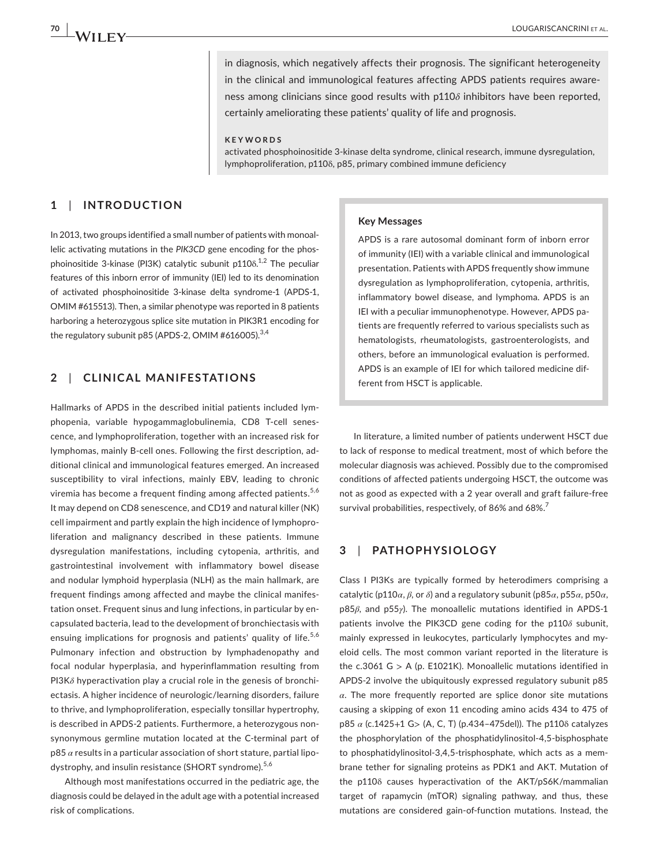in diagnosis, which negatively affects their prognosis. The significant heterogeneity in the clinical and immunological features affecting APDS patients requires awareness among clinicians since good results with p110*δ* inhibitors have been reported, certainly ameliorating these patients' quality of life and prognosis.

**KEYWORDS**

activated phosphoinositide 3-kinase delta syndrome, clinical research, immune dysregulation, lymphoproliferation, p110δ, p85, primary combined immune deficiency

## **1**  | **INTRODUCTION**

In 2013, two groups identified a small number of patients with monoallelic activating mutations in the *PIK3CD* gene encoding for the phosphoinositide 3-kinase (PI3K) catalytic subunit p110 $\delta$ .<sup>1,2</sup> The peculiar features of this inborn error of immunity (IEI) led to its denomination of activated phosphoinositide 3-kinase delta syndrome-1 (APDS-1, OMIM #615513). Then, a similar phenotype was reported in 8 patients harboring a heterozygous splice site mutation in PIK3R1 encoding for the regulatory subunit p85 (APDS-2, OMIM #616005). $^{3,4}$ 

## **2**  | **CLINICAL MANIFESTATIONS**

Hallmarks of APDS in the described initial patients included lymphopenia, variable hypogammaglobulinemia, CD8 T-cell senescence, and lymphoproliferation, together with an increased risk for lymphomas, mainly B-cell ones. Following the first description, additional clinical and immunological features emerged. An increased susceptibility to viral infections, mainly EBV, leading to chronic viremia has become a frequent finding among affected patients.<sup>5,6</sup> It may depend on CD8 senescence, and CD19 and natural killer (NK) cell impairment and partly explain the high incidence of lymphoproliferation and malignancy described in these patients. Immune dysregulation manifestations, including cytopenia, arthritis, and gastrointestinal involvement with inflammatory bowel disease and nodular lymphoid hyperplasia (NLH) as the main hallmark, are frequent findings among affected and maybe the clinical manifestation onset. Frequent sinus and lung infections, in particular by encapsulated bacteria, lead to the development of bronchiectasis with ensuing implications for prognosis and patients' quality of life.<sup>5,6</sup> Pulmonary infection and obstruction by lymphadenopathy and focal nodular hyperplasia, and hyperinflammation resulting from PI3K*δ* hyperactivation play a crucial role in the genesis of bronchiectasis. A higher incidence of neurologic/learning disorders, failure to thrive, and lymphoproliferation, especially tonsillar hypertrophy, is described in APDS-2 patients. Furthermore, a heterozygous nonsynonymous germline mutation located at the C-terminal part of p85 *α* results in a particular association of short stature, partial lipodystrophy, and insulin resistance (SHORT syndrome).<sup>5,6</sup>

Although most manifestations occurred in the pediatric age, the diagnosis could be delayed in the adult age with a potential increased risk of complications.

#### **Key Messages**

APDS is a rare autosomal dominant form of inborn error of immunity (IEI) with a variable clinical and immunological presentation. Patients with APDS frequently show immune dysregulation as lymphoproliferation, cytopenia, arthritis, inflammatory bowel disease, and lymphoma. APDS is an IEI with a peculiar immunophenotype. However, APDS patients are frequently referred to various specialists such as hematologists, rheumatologists, gastroenterologists, and others, before an immunological evaluation is performed. APDS is an example of IEI for which tailored medicine different from HSCT is applicable.

In literature, a limited number of patients underwent HSCT due to lack of response to medical treatment, most of which before the molecular diagnosis was achieved. Possibly due to the compromised conditions of affected patients undergoing HSCT, the outcome was not as good as expected with a 2 year overall and graft failure-free survival probabilities, respectively, of 86% and 68%.<sup>7</sup>

### **3**  | **PATHOPHYSIOLOGY**

Class I PI3Ks are typically formed by heterodimers comprising a catalytic (p110*α*, *β*, or *δ*) and a regulatory subunit (p85*α*, p55*α*, p50*α*, p85*β*, and p55*γ*). The monoallelic mutations identified in APDS-1 patients involve the PIK3CD gene coding for the p110*δ* subunit, mainly expressed in leukocytes, particularly lymphocytes and myeloid cells. The most common variant reported in the literature is the c.3061 G > A (p. E1021K). Monoallelic mutations identified in APDS-2 involve the ubiquitously expressed regulatory subunit p85 *α*. The more frequently reported are splice donor site mutations causing a skipping of exon 11 encoding amino acids 434 to 475 of p85 *α* (c.1425+1 G> (A, C, T) (p.434–475del)). The p110δ catalyzes the phosphorylation of the phosphatidylinositol-4,5-bisphosphate to phosphatidylinositol-3,4,5-trisphosphate, which acts as a membrane tether for signaling proteins as PDK1 and AKT. Mutation of the p110δ causes hyperactivation of the AKT/pS6K/mammalian target of rapamycin (mTOR) signaling pathway, and thus, these mutations are considered gain-of-function mutations. Instead, the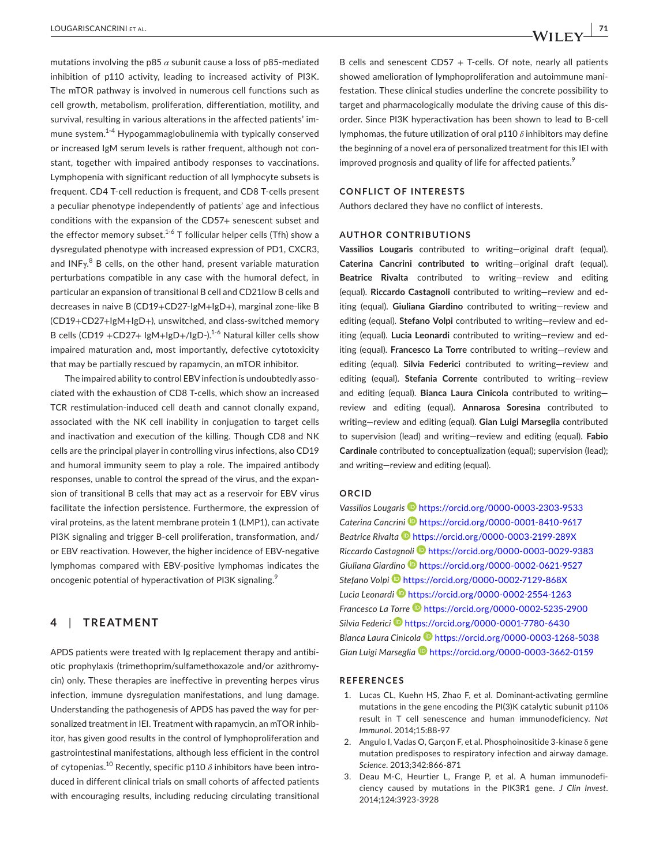mutations involving the p85 *α* subunit cause a loss of p85-mediated inhibition of p110 activity, leading to increased activity of PI3K. The mTOR pathway is involved in numerous cell functions such as cell growth, metabolism, proliferation, differentiation, motility, and survival, resulting in various alterations in the affected patients' immune system.<sup>1-4</sup> Hypogammaglobulinemia with typically conserved or increased IgM serum levels is rather frequent, although not constant, together with impaired antibody responses to vaccinations. Lymphopenia with significant reduction of all lymphocyte subsets is frequent. CD4 T-cell reduction is frequent, and CD8 T-cells present a peculiar phenotype independently of patients' age and infectious conditions with the expansion of the CD57+ senescent subset and the effector memory subset.<sup>1-6</sup> T follicular helper cells (Tfh) show a dysregulated phenotype with increased expression of PD1, CXCR3, and INF $\gamma^{8}$  B cells, on the other hand, present variable maturation perturbations compatible in any case with the humoral defect, in particular an expansion of transitional B cell and CD21low B cells and decreases in naive B (CD19+CD27-IgM+IgD+), marginal zone-like B (CD19+CD27+IgM+IgD+), unswitched, and class-switched memory B cells (CD19 +CD27+ IgM+IgD+/IgD-).<sup>1-6</sup> Natural killer cells show impaired maturation and, most importantly, defective cytotoxicity that may be partially rescued by rapamycin, an mTOR inhibitor.

The impaired ability to control EBV infection is undoubtedly associated with the exhaustion of CD8 T-cells, which show an increased TCR restimulation-induced cell death and cannot clonally expand, associated with the NK cell inability in conjugation to target cells and inactivation and execution of the killing. Though CD8 and NK cells are the principal player in controlling virus infections, also CD19 and humoral immunity seem to play a role. The impaired antibody responses, unable to control the spread of the virus, and the expansion of transitional B cells that may act as a reservoir for EBV virus facilitate the infection persistence. Furthermore, the expression of viral proteins, as the latent membrane protein 1 (LMP1), can activate PI3K signaling and trigger B-cell proliferation, transformation, and/ or EBV reactivation. However, the higher incidence of EBV-negative lymphomas compared with EBV-positive lymphomas indicates the oncogenic potential of hyperactivation of PI3K signaling.<sup>9</sup>

## **4**  | **TREATMENT**

APDS patients were treated with Ig replacement therapy and antibiotic prophylaxis (trimethoprim/sulfamethoxazole and/or azithromycin) only. These therapies are ineffective in preventing herpes virus infection, immune dysregulation manifestations, and lung damage. Understanding the pathogenesis of APDS has paved the way for personalized treatment in IEI. Treatment with rapamycin, an mTOR inhibitor, has given good results in the control of lymphoproliferation and gastrointestinal manifestations, although less efficient in the control of cytopenias.<sup>10</sup> Recently, specific p110  $\delta$  inhibitors have been introduced in different clinical trials on small cohorts of affected patients with encouraging results, including reducing circulating transitional

B cells and senescent  $CD57 + T$ -cells. Of note, nearly all patients showed amelioration of lymphoproliferation and autoimmune manifestation. These clinical studies underline the concrete possibility to target and pharmacologically modulate the driving cause of this disorder. Since PI3K hyperactivation has been shown to lead to B-cell lymphomas, the future utilization of oral p110 *δ* inhibitors may define the beginning of a novel era of personalized treatment for this IEI with improved prognosis and quality of life for affected patients.<sup>9</sup>

#### **CONFLICT OF INTERESTS**

Authors declared they have no conflict of interests.

#### **AUTHOR CONTRIBUTIONS**

**Vassilios Lougaris** contributed to writing—original draft (equal). **Caterina Cancrini contributed to** writing—original draft (equal). **Beatrice Rivalta** contributed to writing—review and editing (equal). **Riccardo Castagnoli** contributed to writing—review and editing (equal). **Giuliana Giardino** contributed to writing—review and editing (equal). **Stefano Volpi** contributed to writing—review and editing (equal). **Lucia Leonardi** contributed to writing—review and editing (equal). **Francesco La Torre** contributed to writing—review and editing (equal). **Silvia Federici** contributed to writing—review and editing (equal). **Stefania Corrente** contributed to writing—review and editing (equal). **Bianca Laura Cinicola** contributed to writing review and editing (equal). **Annarosa Soresina** contributed to writing—review and editing (equal). **Gian Luigi Marseglia** contributed to supervision (lead) and writing—review and editing (equal). **Fabio Cardinale** contributed to conceptualization (equal); supervision (lead); and writing—review and editing (equal).

### **ORCID**

*Vassilios Lougaris* <https://orcid.org/0000-0003-2303-9533> *Caterina Cancrin[i](https://orcid.org/0000-0001-8410-9617)* <https://orcid.org/0000-0001-8410-9617> *Beatrice Rivalta* <https://orcid.org/0000-0003-2199-289X> *Riccardo Castagnol[i](https://orcid.org/0000-0003-0029-9383)* <https://orcid.org/0000-0003-0029-9383> *Giuliana Giardin[o](https://orcid.org/0000-0002-0621-9527)* <https://orcid.org/0000-0002-0621-9527> *Stefano Volpi* <https://orcid.org/0000-0002-7129-868X> *Lucia Leonard[i](https://orcid.org/0000-0002-2554-1263)* <https://orcid.org/0000-0002-2554-1263> *Francesco La Torre* <https://orcid.org/0000-0002-5235-2900> *Silvia Federic[i](https://orcid.org/0000-0001-7780-6430)* <https://orcid.org/0000-0001-7780-6430> *Bianca Laura Cinicola* <https://orcid.org/0000-0003-1268-5038> *Gian Luigi Marseglia* <https://orcid.org/0000-0003-3662-0159>

#### **REFERENCES**

- 1. Lucas CL, Kuehn HS, Zhao F, et al. Dominant-activating germline mutations in the gene encoding the PI(3)K catalytic subunit p1108 result in T cell senescence and human immunodeficiency. *Nat Immunol*. 2014;15:88-97
- 2. Angulo I, Vadas O, Garçon F, et al. Phosphoinositide 3-kinase δ gene mutation predisposes to respiratory infection and airway damage. *Science*. 2013;342:866-871
- 3. Deau M-C, Heurtier L, Frange P, et al. A human immunodeficiency caused by mutations in the PIK3R1 gene. *J Clin Invest*. 2014;124:3923-3928